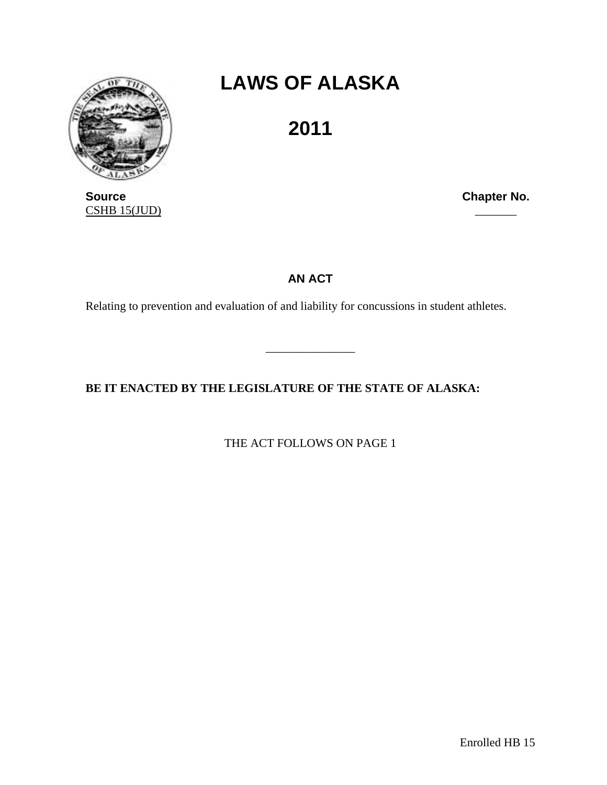

**LAWS OF ALASKA** 

**2011** 

**Source Chapter No. Chapter No. Chapter No.**  $CSHB$  15(JUD)

## **AN ACT**

\_\_\_\_\_\_\_\_\_\_\_\_\_\_\_

Relating to prevention and evaluation of and liability for concussions in student athletes.

**BE IT ENACTED BY THE LEGISLATURE OF THE STATE OF ALASKA:** 

THE ACT FOLLOWS ON PAGE 1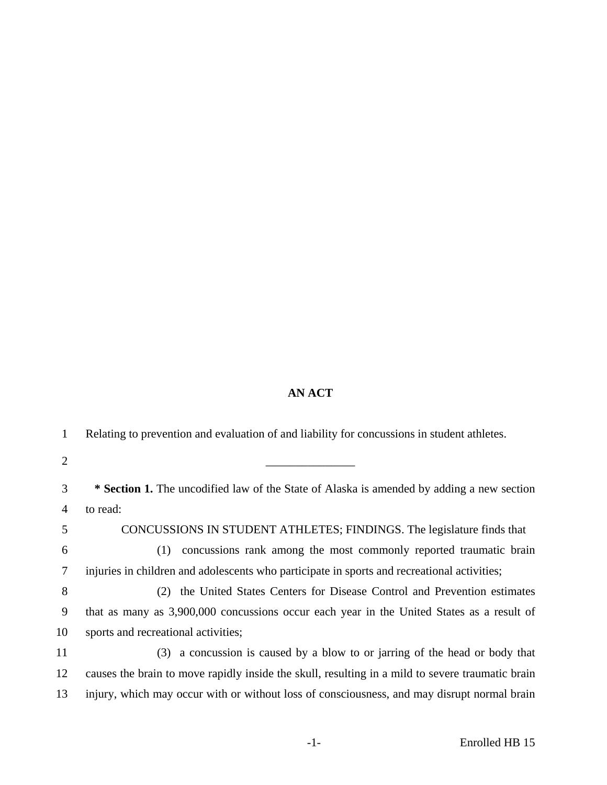## **AN ACT**

| 1              | Relating to prevention and evaluation of and liability for concussions in student athletes.      |
|----------------|--------------------------------------------------------------------------------------------------|
| $\overline{2}$ |                                                                                                  |
| 3              | <b>* Section 1.</b> The uncodified law of the State of Alaska is amended by adding a new section |
| $\overline{4}$ | to read:                                                                                         |
| 5              | CONCUSSIONS IN STUDENT ATHLETES; FINDINGS. The legislature finds that                            |
| 6              | concussions rank among the most commonly reported traumatic brain<br>(1)                         |
| 7              | injuries in children and adolescents who participate in sports and recreational activities;      |
| 8              | (2) the United States Centers for Disease Control and Prevention estimates                       |
| 9              | that as many as 3,900,000 concussions occur each year in the United States as a result of        |
| 10             | sports and recreational activities;                                                              |
| 11             | (3) a concussion is caused by a blow to or jarring of the head or body that                      |
| 12             | causes the brain to move rapidly inside the skull, resulting in a mild to severe traumatic brain |
| 13             | injury, which may occur with or without loss of consciousness, and may disrupt normal brain      |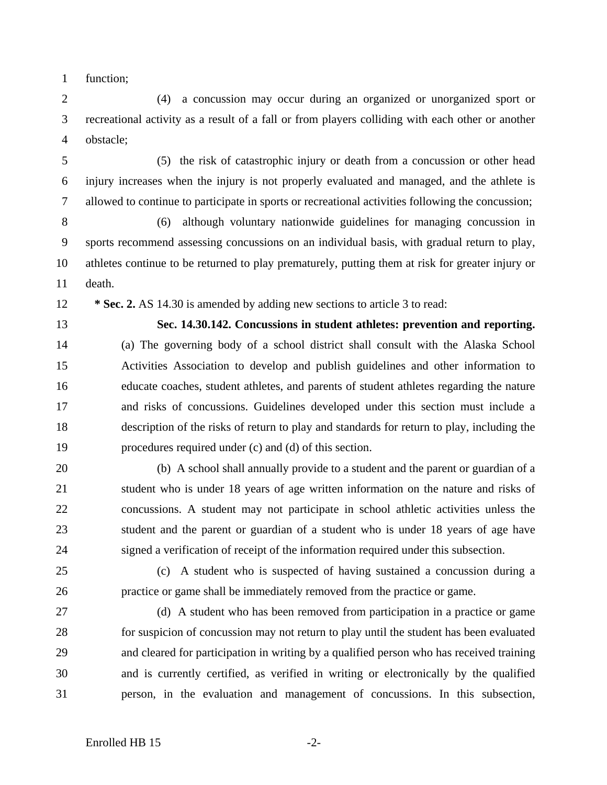1 function;

2 (4) a concussion may occur during an organized or unorganized sport or 3 recreational activity as a result of a fall or from players colliding with each other or another 4 obstacle;

5 (5) the risk of catastrophic injury or death from a concussion or other head 6 injury increases when the injury is not properly evaluated and managed, and the athlete is 7 allowed to continue to participate in sports or recreational activities following the concussion;

8 (6) although voluntary nationwide guidelines for managing concussion in 9 sports recommend assessing concussions on an individual basis, with gradual return to play, 10 athletes continue to be returned to play prematurely, putting them at risk for greater injury or 11 death.

12 **\* Sec. 2.** AS 14.30 is amended by adding new sections to article 3 to read:

13 **Sec. 14.30.142. Concussions in student athletes: prevention and reporting.**  14 (a) The governing body of a school district shall consult with the Alaska School 15 Activities Association to develop and publish guidelines and other information to 16 educate coaches, student athletes, and parents of student athletes regarding the nature 17 and risks of concussions. Guidelines developed under this section must include a 18 description of the risks of return to play and standards for return to play, including the 19 procedures required under (c) and (d) of this section.

20 (b) A school shall annually provide to a student and the parent or guardian of a 21 student who is under 18 years of age written information on the nature and risks of 22 concussions. A student may not participate in school athletic activities unless the 23 student and the parent or guardian of a student who is under 18 years of age have 24 signed a verification of receipt of the information required under this subsection.

25 (c) A student who is suspected of having sustained a concussion during a 26 practice or game shall be immediately removed from the practice or game.

27 (d) A student who has been removed from participation in a practice or game 28 for suspicion of concussion may not return to play until the student has been evaluated 29 and cleared for participation in writing by a qualified person who has received training 30 and is currently certified, as verified in writing or electronically by the qualified 31 person, in the evaluation and management of concussions. In this subsection,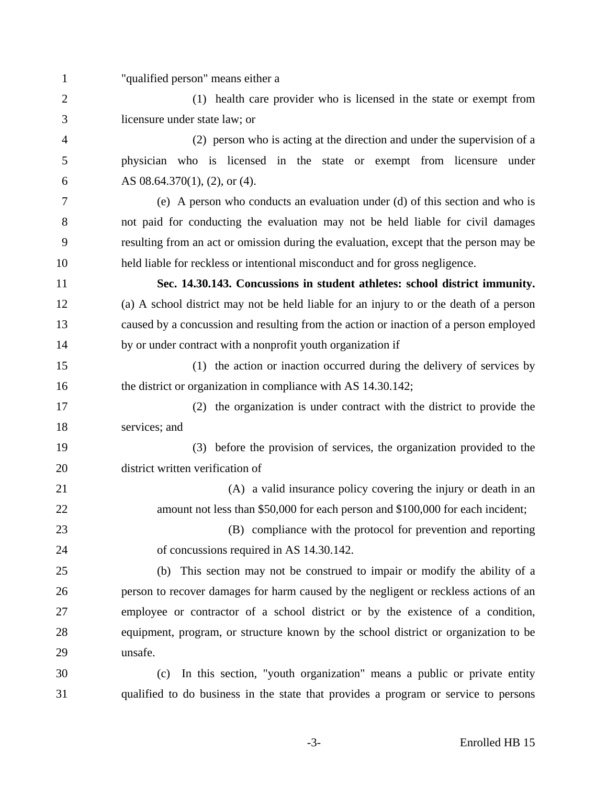1 "qualified person" means either a 2 (1) health care provider who is licensed in the state or exempt from 3 licensure under state law; or 4 (2) person who is acting at the direction and under the supervision of a 5 physician who is licensed in the state or exempt from licensure under 6 AS  $08.64.370(1)$ ,  $(2)$ , or  $(4)$ . 7 (e) A person who conducts an evaluation under (d) of this section and who is 8 not paid for conducting the evaluation may not be held liable for civil damages 9 resulting from an act or omission during the evaluation, except that the person may be 10 held liable for reckless or intentional misconduct and for gross negligence. 11 **Sec. 14.30.143. Concussions in student athletes: school district immunity.**  12 (a) A school district may not be held liable for an injury to or the death of a person 13 caused by a concussion and resulting from the action or inaction of a person employed 14 by or under contract with a nonprofit youth organization if 15 (1) the action or inaction occurred during the delivery of services by 16 the district or organization in compliance with AS 14.30.142; 17 (2) the organization is under contract with the district to provide the 18 services; and 19 (3) before the provision of services, the organization provided to the 20 district written verification of 21 (A) a valid insurance policy covering the injury or death in an 22 amount not less than \$50,000 for each person and \$100,000 for each incident; 23 (B) compliance with the protocol for prevention and reporting 24 of concussions required in AS 14.30.142. 25 (b) This section may not be construed to impair or modify the ability of a 26 person to recover damages for harm caused by the negligent or reckless actions of an 27 employee or contractor of a school district or by the existence of a condition, 28 equipment, program, or structure known by the school district or organization to be 29 unsafe. 30 (c) In this section, "youth organization" means a public or private entity 31 qualified to do business in the state that provides a program or service to persons